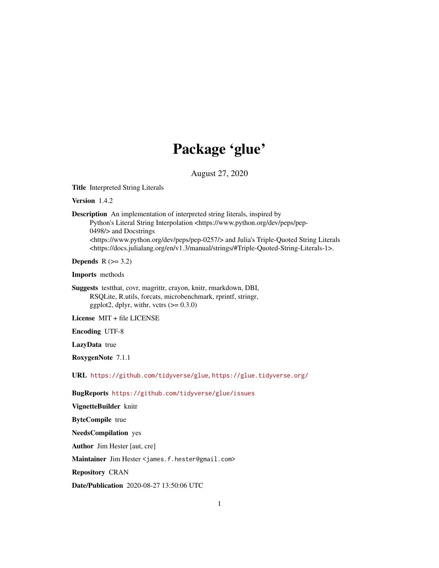# Package 'glue'

August 27, 2020

<span id="page-0-0"></span>Title Interpreted String Literals

Version 1.4.2

Description An implementation of interpreted string literals, inspired by

Python's Literal String Interpolation <https://www.python.org/dev/peps/pep-0498/> and Docstrings <https://www.python.org/dev/peps/pep-0257/> and Julia's Triple-Quoted String Literals <https://docs.julialang.org/en/v1.3/manual/strings/#Triple-Quoted-String-Literals-1>.

Depends  $R$  ( $>= 3.2$ )

Imports methods

Suggests testthat, covr, magrittr, crayon, knitr, rmarkdown, DBI, RSQLite, R.utils, forcats, microbenchmark, rprintf, stringr, ggplot2, dplyr, with  $y = 0.3.0$ 

License MIT + file LICENSE

Encoding UTF-8

LazyData true

RoxygenNote 7.1.1

URL <https://github.com/tidyverse/glue>, <https://glue.tidyverse.org/>

BugReports <https://github.com/tidyverse/glue/issues>

VignetteBuilder knitr ByteCompile true NeedsCompilation yes

Author Jim Hester [aut, cre]

Maintainer Jim Hester <james.f.hester@gmail.com>

Repository CRAN

Date/Publication 2020-08-27 13:50:06 UTC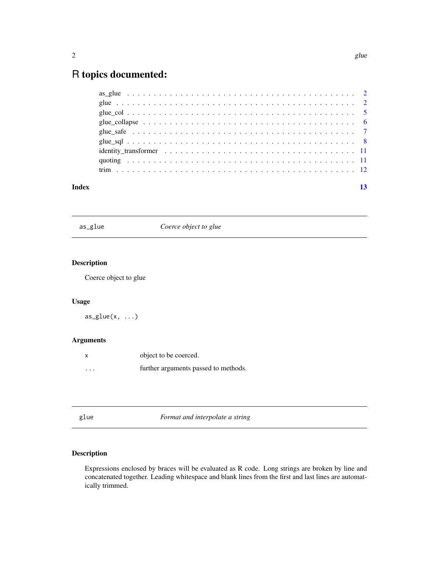## <span id="page-1-0"></span>R topics documented:

| Index |  |
|-------|--|
|       |  |
|       |  |
|       |  |
|       |  |
|       |  |
|       |  |
|       |  |
|       |  |
|       |  |

|  | $\mathbf{u}$ |
|--|--------------|
|  |              |

Coerce object to glue

### Description

Coerce object to glue

#### Usage

 $as\_glue(x, \ldots)$ 

#### Arguments

|                         | object to be coerced.                |
|-------------------------|--------------------------------------|
| $\cdot$ $\cdot$ $\cdot$ | further arguments passed to methods. |

|  | . .<br>۰.<br>× |
|--|----------------|
|--|----------------|

Format and interpolate a string

#### Description

Expressions enclosed by braces will be evaluated as R code. Long strings are broken by line and concatenated together. Leading whitespace and blank lines from the first and last lines are automatically trimmed.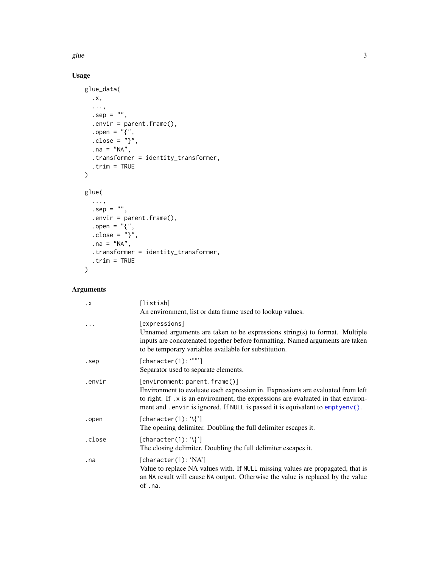<span id="page-2-0"></span>

## Usage

```
glue_data(
  .x,
  ...,
  .\text{sep} = "",.envir = parent.frame(),
  .open = \overline{''}{",
  .close = "}',
  .na = "NA",.transformer = identity_transformer,
  .trim = TRUE
\mathcal{L}glue(
  ...,
  .\,\text{sep} = "",.envir = parent.frame(),
  .open = "{",
  .close = "}",
  .na = "NA",.transformer = identity_transformer,
  .trim = TRUE
\mathcal{L}
```
### Arguments

| $\cdot$ X | [listish]<br>An environment, list or data frame used to lookup values.                                                                                                                                                                                                                  |
|-----------|-----------------------------------------------------------------------------------------------------------------------------------------------------------------------------------------------------------------------------------------------------------------------------------------|
|           | [expressions]<br>Unnamed arguments are taken to be expressions string(s) to format. Multiple<br>inputs are concatenated together before formatting. Named arguments are taken<br>to be temporary variables available for substitution.                                                  |
| .sep      | [character(1): """]<br>Separator used to separate elements.                                                                                                                                                                                                                             |
| .envir    | [environment: parent.frame()]<br>Environment to evaluate each expression in. Expressions are evaluated from left<br>to right. If .x is an environment, the expressions are evaluated in that environ-<br>ment and . envir is ignored. If NULL is passed it is equivalent to emptyenv(). |
| .open     | $[character(1): \mathcal{C}]$<br>The opening delimiter. Doubling the full delimiter escapes it.                                                                                                                                                                                         |
| .close    | $[character(1): \mathcal{N}]$<br>The closing delimiter. Doubling the full delimiter escapes it.                                                                                                                                                                                         |
| . na      | [character(1): 'NA']<br>Value to replace NA values with. If NULL missing values are propagated, that is<br>an NA result will cause NA output. Otherwise the value is replaced by the value<br>of .na.                                                                                   |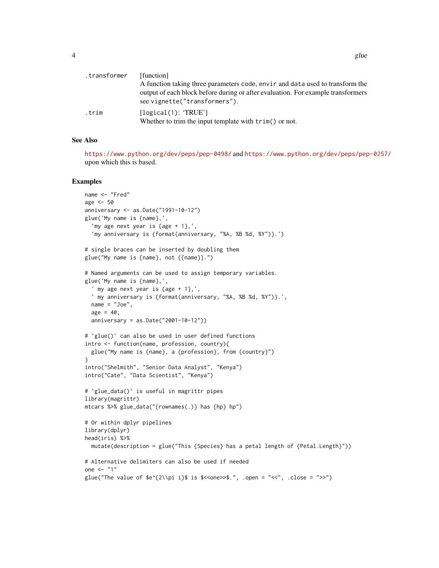| .transformer | [function]                                                                                                                                                        |
|--------------|-------------------------------------------------------------------------------------------------------------------------------------------------------------------|
|              | A function taking three parameters code, envir and data used to transform the<br>output of each block before during or after evaluation. For example transformers |
|              | see vignette("transformers").                                                                                                                                     |
| .trim        | [logical(1): 'TRUE']<br>Whether to trim the input template with $\text{trim}()$ or not.                                                                           |

#### See Also

<https://www.python.org/dev/peps/pep-0498/> and <https://www.python.org/dev/peps/pep-0257/> upon which this is based.

```
name <- "Fred"
age <-50anniversary <- as.Date("1991-10-12")
glue('My name is {name},',
  'my age next year is {age + 1},',
  'my anniversary is {format(anniversary, "%A, %B %d, %Y")}.')
# single braces can be inserted by doubling them
glue("My name is {name}, not {{name}}.")
# Named arguments can be used to assign temporary variables.
glue('My name is {name},',
  ' my age next year is {age + 1},',
  ' my anniversary is {format(anniversary, "%A, %B %d, %Y")}.',
  name = "Joe",
  age = 40,anniversary = as.Date("2001-10-12"))
# `glue()` can also be used in user defined functions
intro <- function(name, profession, country){
  glue("My name is {name}, a {profession}, from {country}")
}
intro("Shelmith", "Senior Data Analyst", "Kenya")
intro("Cate", "Data Scientist", "Kenya")
# `glue_data()` is useful in magrittr pipes
library(magrittr)
mtcars %>% glue_data("{rownames(.)} has {hp} hp")
# Or within dplyr pipelines
library(dplyr)
head(iris) %>%
  mutate(description = glue("This {Species} has a petal length of {Petal.Length}"))
# Alternative delimiters can also be used if needed
one <- "1"
glue("The value of e^{2\iota}i}$ is \zeta<one>>$.", .open = "<<", .close = ">>")
```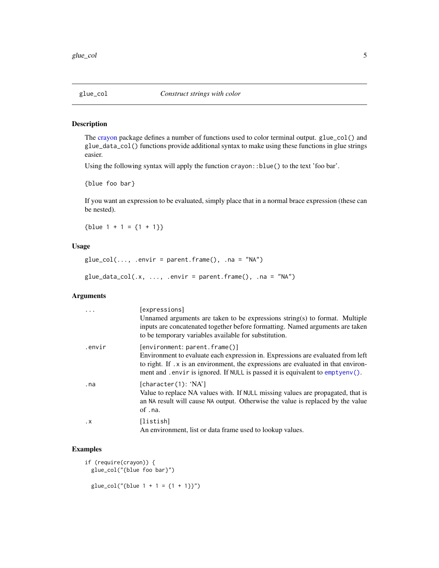<span id="page-4-0"></span>

The [crayon](#page-0-0) package defines a number of functions used to color terminal output. glue\_col() and glue\_data\_col() functions provide additional syntax to make using these functions in glue strings easier.

Using the following syntax will apply the function crayon::blue() to the text 'foo bar'.

{blue foo bar}

If you want an expression to be evaluated, simply place that in a normal brace expression (these can be nested).

{blue  $1 + 1 = \{1 + 1\}$ }

#### Usage

```
glue\_col(..., .envir = parent.frame(), .na = "NA")
```

```
glue\_data\_col(.x, ..., .envir = parent.frame(), .na = "NA")
```
#### Arguments

|           | [expressions]<br>Unnamed arguments are taken to be expressions string(s) to format. Multiple<br>inputs are concatenated together before formatting. Named arguments are taken<br>to be temporary variables available for substitution.                                                   |
|-----------|------------------------------------------------------------------------------------------------------------------------------------------------------------------------------------------------------------------------------------------------------------------------------------------|
| .envir    | [environment: parent.frame()]<br>Environment to evaluate each expression in. Expressions are evaluated from left<br>to right. If .x is an environment, the expressions are evaluated in that environ-<br>ment and . envir is ignored. If NULL is passed it is equivalent to $empty(n)$ . |
| . na      | [character(1): 'NA']<br>Value to replace NA values with. If NULL missing values are propagated, that is<br>an NA result will cause NA output. Otherwise the value is replaced by the value<br>of .na.                                                                                    |
| $\cdot$ X | [listish]<br>An environment, list or data frame used to lookup values.                                                                                                                                                                                                                   |

```
if (require(crayon)) {
 glue_col("{blue foo bar}")
 glue\_col("{blue 1 + 1 = {1 + 1}}")
```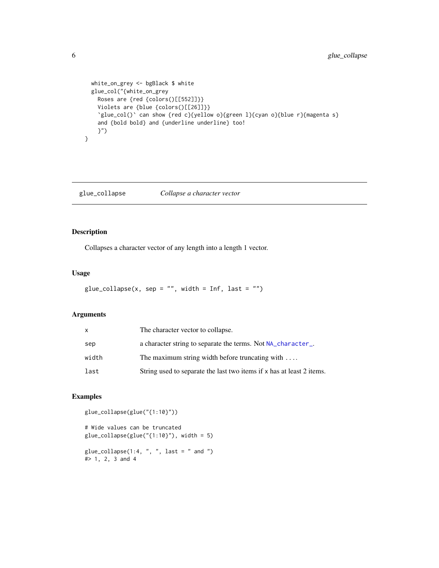```
white_on_grey <- bgBlack $ white
 glue_col("{white_on_grey
   Roses are {red {colors()[[552]]}}
   Violets are {blue {colors()[[26]]}}
   `glue_col()` can show {red c}{yellow o}{green l}{cyan o}{blue r}{magenta s}
   and {bold bold} and {underline underline} too!
   }")
}
```
glue\_collapse *Collapse a character vector*

#### Description

Collapses a character vector of any length into a length 1 vector.

#### Usage

```
glue\_collapse(x, sep = "", width = Inf, last = "")
```
#### Arguments

| X     | The character vector to collapse.                                     |
|-------|-----------------------------------------------------------------------|
| sep   | a character string to separate the terms. Not NA_character_.          |
| width | The maximum string width before truncating with $\dots$               |
| last  | String used to separate the last two items if x has at least 2 items. |

#### Examples

glue\_collapse(glue("{1:10}"))

```
# Wide values can be truncated
glue_collapse(glue("{1:10}"), width = 5)
```

```
glue\_collapse(1:4, ", ", last = " and ")#> 1, 2, 3 and 4
```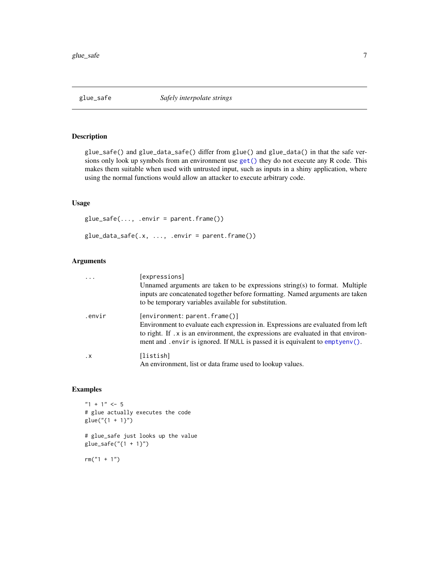<span id="page-6-0"></span>

glue\_safe() and glue\_data\_safe() differ from glue() and glue\_data() in that the safe versions only look up symbols from an environment use [get\(\)](#page-0-0) they do not execute any R code. This makes them suitable when used with untrusted input, such as inputs in a shiny application, where using the normal functions would allow an attacker to execute arbitrary code.

#### Usage

 $glue\_safe(..., .envir = parent-frame())$  $glue\_data\_safe(.x, ..., .envir = parent-frame())$ 

#### Arguments

|           | [expressions]                                                                                                                                                                                                                                                                           |
|-----------|-----------------------------------------------------------------------------------------------------------------------------------------------------------------------------------------------------------------------------------------------------------------------------------------|
|           | Unnamed arguments are taken to be expressions string(s) to format. Multiple<br>inputs are concatenated together before formatting. Named arguments are taken                                                                                                                            |
|           | to be temporary variables available for substitution.                                                                                                                                                                                                                                   |
| .envir    | [environment: parent.frame()]<br>Environment to evaluate each expression in. Expressions are evaluated from left<br>to right. If .x is an environment, the expressions are evaluated in that environ-<br>ment and . envir is ignored. If NULL is passed it is equivalent to emptyenv(). |
| $\cdot$ X | [listish]<br>An environment, list or data frame used to lookup values.                                                                                                                                                                                                                  |

```
"1 + 1" < -5# glue actually executes the code
glue("{1 + 1}")
# glue_safe just looks up the value
glue_safe("{1 + 1}")
rm("1 + 1")
```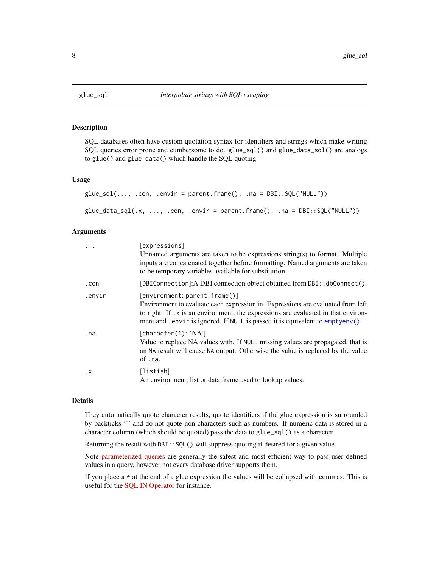<span id="page-7-0"></span>

SQL databases often have custom quotation syntax for identifiers and strings which make writing SQL queries error prone and cumbersome to do. glue\_sql() and glue\_data\_sql() are analogs to glue() and glue\_data() which handle the SQL quoting.

#### Usage

```
glue_sql(..., .con, .envir = parent.frame(), .na = DBI::SQL("NULL"))
```
 $glue\_data\_sql(x, ..., .con, .envir = parent-frame(), .na = DBI::SQL("NULL"))$ 

#### Arguments

| $\cdot$   | [expressions]<br>Unnamed arguments are taken to be expressions string(s) to format. Multiple<br>inputs are concatenated together before formatting. Named arguments are taken<br>to be temporary variables available for substitution.                                                   |
|-----------|------------------------------------------------------------------------------------------------------------------------------------------------------------------------------------------------------------------------------------------------------------------------------------------|
| .con      | [DBIConnection]: A DBI connection object obtained from DBI:: dbConnect().                                                                                                                                                                                                                |
| .envir    | [environment: parent.frame()]<br>Environment to evaluate each expression in. Expressions are evaluated from left<br>to right. If . x is an environment, the expressions are evaluated in that environ-<br>ment and . envir is ignored. If NULL is passed it is equivalent to emptyenv(). |
| . na      | [character(1): 'NA']<br>Value to replace NA values with. If NULL missing values are propagated, that is<br>an NA result will cause NA output. Otherwise the value is replaced by the value<br>of .na.                                                                                    |
| $\cdot$ X | [listish]<br>An environment, list or data frame used to lookup values.                                                                                                                                                                                                                   |

#### Details

They automatically quote character results, quote identifiers if the glue expression is surrounded by backticks "' and do not quote non-characters such as numbers. If numeric data is stored in a character column (which should be quoted) pass the data to glue\_sql() as a character.

Returning the result with DBI::SQL() will suppress quoting if desired for a given value.

Note [parameterized queries](https://db.rstudio.com/best-practices/run-queries-safely#parameterized-queries) are generally the safest and most efficient way to pass user defined values in a query, however not every database driver supports them.

If you place  $a \star a$  the end of a glue expression the values will be collapsed with commas. This is useful for the [SQL IN Operator](https://www.w3schools.com/sql/sql_in.asp) for instance.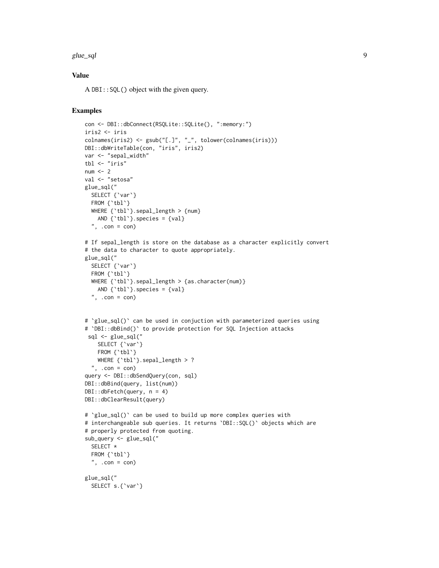#### glue\_sql 9

#### Value

A DBI::SQL() object with the given query.

```
con <- DBI::dbConnect(RSQLite::SQLite(), ":memory:")
iris2 <- iris
colnames(iris2) <- gsub("[.]", "_", tolower(colnames(iris)))
DBI::dbWriteTable(con, "iris", iris2)
var <- "sepal_width"
tbl <- "iris"
num < - 2val <- "setosa"
glue_sql("
 SELECT {`var`}
 FROM { `tbl ` }
  WHERE {'tbl'}.sepal_length > {num}
   AND \{\text{`tbl'}\}. species = \{val\}", .con = con)# If sepal_length is store on the database as a character explicitly convert
# the data to character to quote appropriately.
glue_sql("
 SELECT {`var`}
  FROM { `tbl ` }
  WHERE {'tbl'}.sepal_length > {as.character(num)}
   AND \{\text{thl}\}. species = \{val\}", .con = con)# `glue_sql()` can be used in conjuction with parameterized queries using
# `DBI::dbBind()` to provide protection for SQL Injection attacks
 sql <- glue_sql("
    SELECT {`var`}
    FROM {'tbl'}
    WHERE {'tbl'}.sepal_length > ?
  ", .con = con)query <- DBI::dbSendQuery(con, sql)
DBI::dbBind(query, list(num))
DBI::dbFetch(query, n = 4)
DBI::dbClearResult(query)
# `glue_sql()` can be used to build up more complex queries with
# interchangeable sub queries. It returns `DBI:: SQL()` objects which are
# properly protected from quoting.
sub_query <- glue_sql("
  SELECT *
  FROM {'tbl'}
  ", \text{con} = \text{con}glue_sql("
  SELECT s.{`var`}
```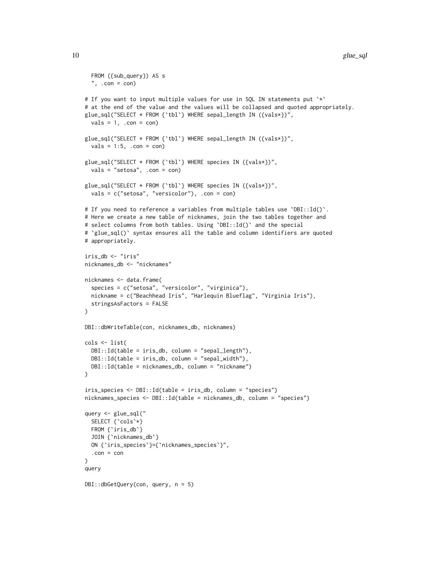```
FROM ({sub_query}) AS s
  ", .con = con)# If you want to input multiple values for use in SQL IN statements put `*`
# at the end of the value and the values will be collapsed and quoted appropriately.
glue_sql("SELECT * FROM {`tbl`} WHERE sepal_length IN ({vals*})",
 vals = 1, .con = con)glue_sql("SELECT * FROM {`tbl`} WHERE sepal_length IN ({vals*})",
 vals = 1:5, .con = con)glue_sql("SELECT * FROM {`tbl`} WHERE species IN ({vals*})",
 vals = "setosa", .con = con)glue_sql("SELECT * FROM {`tbl`} WHERE species IN ({vals*})",
 vals = c("setosa", "versicolor"), .con = con)
# If you need to reference a variables from multiple tables use `DBI::Id()`.
# Here we create a new table of nicknames, join the two tables together and
# select columns from both tables. Using `DBI::Id()` and the special
# `glue_sql()` syntax ensures all the table and column identifiers are quoted
# appropriately.
iris_db <- "iris"
nicknames_db <- "nicknames"
nicknames <- data.frame(
 species = c("setosa", "versicolor", "virginica"),
 nickname = c("Beachhead Iris", "Harlequin Blueflag", "Virginia Iris"),
 stringsAsFactors = FALSE
\lambdaDBI::dbWriteTable(con, nicknames_db, nicknames)
cols <- list(
 DBI::Id(table = iris_db, column = "sepal_length"),
 DBI::Id(table = iris_db, column = "sepal_width"),
 DBI::Id(table = nicknames_db, column = "nickname")
)
iris_species <- DBI::Id(table = iris_db, column = "species")
nicknames_species <- DBI::Id(table = nicknames_db, column = "species")
query <- glue_sql("
 SELECT {`cols`*}
 FROM {`iris_db`}
 JOIN {`nicknames_db`}
 ON {`iris_species`}={`nicknames_species`}",
  .con = con
\lambdaquery
DBI::dbGetQuery(con, query, n = 5)
```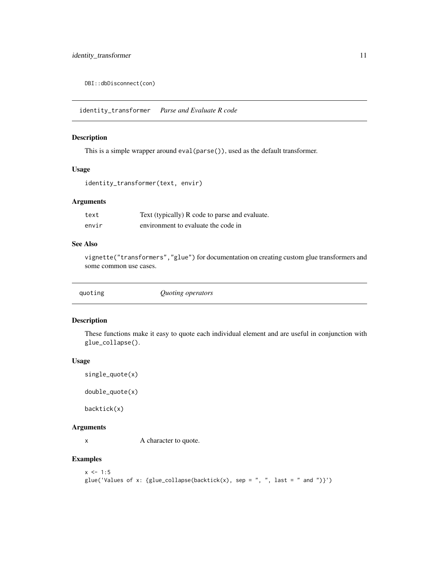<span id="page-10-0"></span>DBI::dbDisconnect(con)

identity\_transformer *Parse and Evaluate R code*

#### Description

This is a simple wrapper around eval(parse()), used as the default transformer.

#### Usage

```
identity_transformer(text, envir)
```
#### Arguments

| text  | Text (typically) R code to parse and evaluate. |
|-------|------------------------------------------------|
| envir | environment to evaluate the code in            |

#### See Also

vignette("transformers","glue") for documentation on creating custom glue transformers and some common use cases.

| quoting | Quoting operators |
|---------|-------------------|
|         |                   |

#### Description

These functions make it easy to quote each individual element and are useful in conjunction with glue\_collapse().

#### Usage

```
single_quote(x)
```
double\_quote(x)

backtick(x)

#### Arguments

x A character to quote.

```
x \le -1:5glue('Values of x: {glue_collapse(backtick(x), sep = ", ", last = " and ")}')
```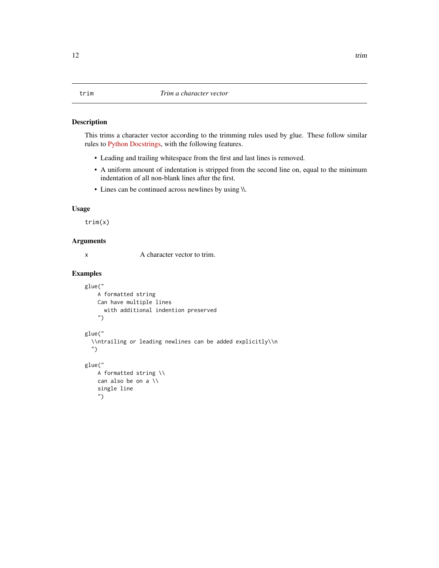<span id="page-11-0"></span>This trims a character vector according to the trimming rules used by glue. These follow similar rules to [Python Docstrings,](https://www.python.org/dev/peps/pep-0257) with the following features.

- Leading and trailing whitespace from the first and last lines is removed.
- A uniform amount of indentation is stripped from the second line on, equal to the minimum indentation of all non-blank lines after the first.
- Lines can be continued across newlines by using \\.

#### Usage

trim(x)

#### Arguments

x A character vector to trim.

```
glue("
    A formatted string
   Can have multiple lines
     with additional indention preserved
    ")
glue("
  \\ntrailing or leading newlines can be added explicitly\\n
  ")
glue("
   A formatted string \\
   can also be on a \\
    single line
    ")
```